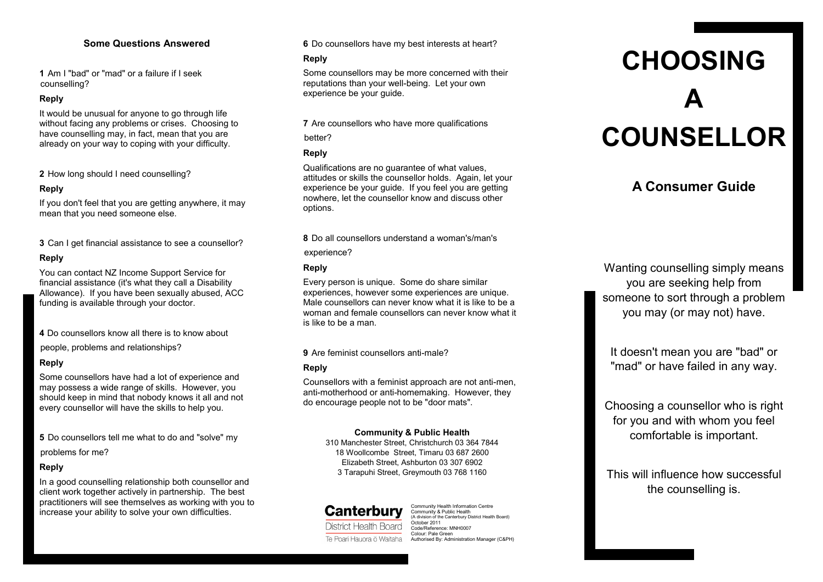## **Some Questions Answered**

**1** Am I "bad" or "mad" or a failure if I seek counselling?

#### **Reply**

It would be unusual for anyone to go through life without facing any problems or crises. Choosing to have counselling may, in fact, mean that you are already on your way to coping with your difficulty.

**2** How long should I need counselling?

#### **Reply**

If you don't feel that you are getting anywhere, it may mean that you need someone else.

**3** Can I get financial assistance to see a counsellor?

#### **Reply**

You can contact NZ Income Support Service for financial assistance (it's what they call a Disability Allowance). If you have been sexually abused, ACC funding is available through your doctor.

**4** Do counsellors know all there is to know about people, problems and relationships?

#### **Reply**

Some counsellors have had a lot of experience and may possess a wide range of skills. However, you should keep in mind that nobody knows it all and not every counsellor will have the skills to help you.

**5** Do counsellors tell me what to do and "solve" my

problems for me?

#### **Reply**

In a good counselling relationship both counsellor and client work together actively in partnership. The best practitioners will see themselves as working with you to increase your ability to solve your own difficulties.

#### **6** Do counsellors have my best interests at heart?

#### **Reply**

Some counsellors may be more concerned with their reputations than your well-being. Let your own experience be your quide.

**7** Are counsellors who have more qualifications

better?

#### **Reply**

Qualifications are no guarantee of what values, attitudes or skills the counsellor holds. Again, let your experience be your guide. If you feel you are getting nowhere, let the counsellor know and discuss other options.

**8** Do all counsellors understand a woman's/man's

experience?

#### **Reply**

Every person is unique. Some do share similar experiences, however some experiences are unique. Male counsellors can never know what it is like to be a woman and female counsellors can never know what it is like to be a man.

**9** Are feminist counsellors anti-male?

#### **Reply**

Counsellors with a feminist approach are not anti-men, anti-motherhood or anti-homemaking. However, they do encourage people not to be "door mats".

#### **Community & Public Health**

310 Manchester Street, Christchurch 03 364 7844 18 Woollcombe Street, Timaru 03 687 2600 Elizabeth Street, Ashburton 03 307 6902 3 Tarapuhi Street, Greymouth 03 768 1160

**Canterbury** District Health Board

Community Health Information Centre Community & Public Health (A division of the Canterbury District Health Board) October 2011 Code/Reference: MNH0007 Colour: Pale Green Te Poari Hauora ō Waitaha Authorised By: Administration Manager (C&PH)

# **CHOOSING A COUNSELLOR**

# **A Consumer Guide**

Wanting counselling simply means you are seeking help from someone to sort through a problem you may (or may not) have.

It doesn't mean you are "bad" or "mad" or have failed in any way.

Choosing a counsellor who is right for you and with whom you feel comfortable is important.

This will influence how successful the counselling is.